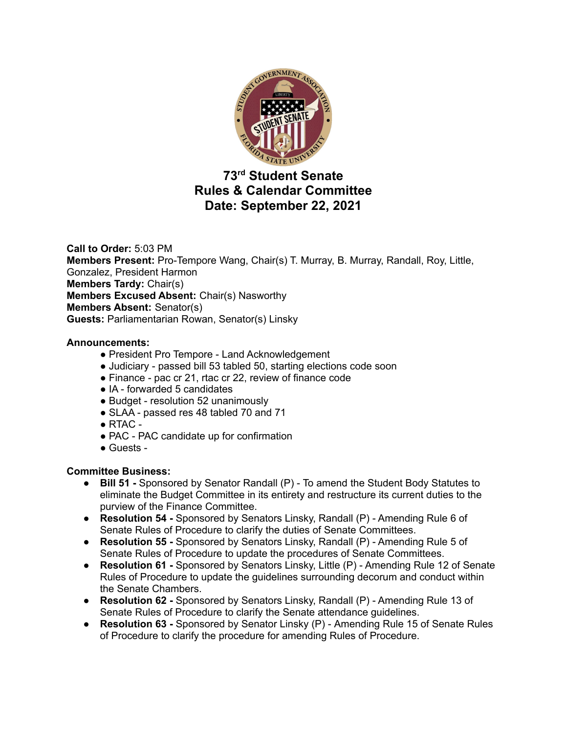

# **73 rd Student Senate Rules & Calendar Committee Date: September 22, 2021**

**Call to Order:** 5:03 PM **Members Present:** Pro-Tempore Wang, Chair(s) T. Murray, B. Murray, Randall, Roy, Little, Gonzalez, President Harmon **Members Tardy:** Chair(s) **Members Excused Absent:** Chair(s) Nasworthy **Members Absent:** Senator(s) **Guests:** Parliamentarian Rowan, Senator(s) Linsky

### **Announcements:**

- President Pro Tempore Land Acknowledgement
- Judiciary passed bill 53 tabled 50, starting elections code soon
- Finance pac cr 21, rtac cr 22, review of finance code
- IA forwarded 5 candidates
- Budget resolution 52 unanimously
- SLAA passed res 48 tabled 70 and 71
- $\bullet$  RTAC -
- PAC PAC candidate up for confirmation
- Guests -

### **Committee Business:**

- **● Bill 51 -** Sponsored by Senator Randall (P) To amend the Student Body Statutes to eliminate the Budget Committee in its entirety and restructure its current duties to the purview of the Finance Committee.
- **● Resolution 54 -** Sponsored by Senators Linsky, Randall (P) Amending Rule 6 of Senate Rules of Procedure to clarify the duties of Senate Committees.
- **● Resolution 55 -** Sponsored by Senators Linsky, Randall (P) Amending Rule 5 of Senate Rules of Procedure to update the procedures of Senate Committees.
- **● Resolution 61 -** Sponsored by Senators Linsky, Little (P) Amending Rule 12 of Senate Rules of Procedure to update the guidelines surrounding decorum and conduct within the Senate Chambers.
- **● Resolution 62 -** Sponsored by Senators Linsky, Randall (P) Amending Rule 13 of Senate Rules of Procedure to clarify the Senate attendance guidelines.
- **● Resolution 63 -** Sponsored by Senator Linsky (P) Amending Rule 15 of Senate Rules of Procedure to clarify the procedure for amending Rules of Procedure.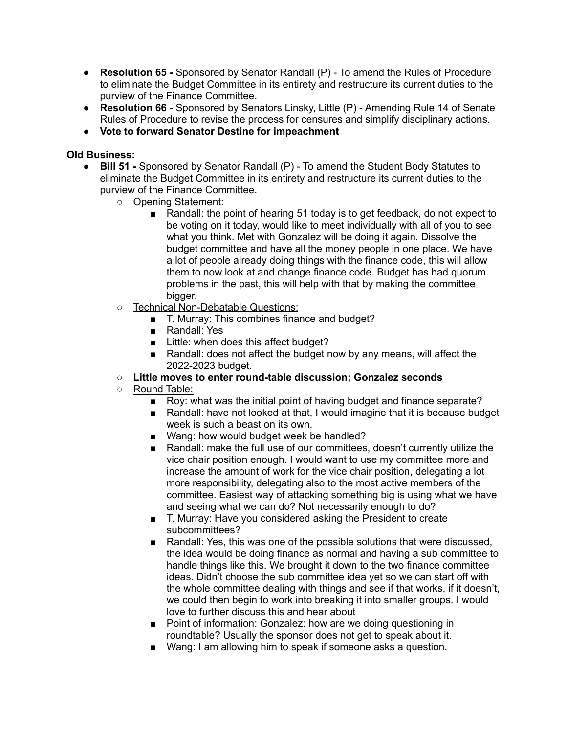- **● Resolution 65 -** Sponsored by Senator Randall (P) To amend the Rules of Procedure to eliminate the Budget Committee in its entirety and restructure its current duties to the purview of the Finance Committee.
- **● Resolution 66 -** Sponsored by Senators Linsky, Little (P) Amending Rule 14 of Senate Rules of Procedure to revise the process for censures and simplify disciplinary actions.
- **● Vote to forward Senator Destine for impeachment**

### **Old Business:**

- **● Bill 51 -** Sponsored by Senator Randall (P) To amend the Student Body Statutes to eliminate the Budget Committee in its entirety and restructure its current duties to the purview of the Finance Committee.
	- Opening Statement:
		- Randall: the point of hearing 51 today is to get feedback, do not expect to be voting on it today, would like to meet individually with all of you to see what you think. Met with Gonzalez will be doing it again. Dissolve the budget committee and have all the money people in one place. We have a lot of people already doing things with the finance code, this will allow them to now look at and change finance code. Budget has had quorum problems in the past, this will help with that by making the committee bigger.
	- Technical Non-Debatable Questions:
		- T. Murray: This combines finance and budget?
		- Randall: Yes
		- Little: when does this affect budget?
		- Randall: does not affect the budget now by any means, will affect the 2022-2023 budget.
	- **○ Little moves to enter round-table discussion; Gonzalez seconds**
	- Round Table:
		- Roy: what was the initial point of having budget and finance separate?
		- Randall: have not looked at that, I would imagine that it is because budget week is such a beast on its own.
		- Wang: how would budget week be handled?
		- Randall: make the full use of our committees, doesn't currently utilize the vice chair position enough. I would want to use my committee more and increase the amount of work for the vice chair position, delegating a lot more responsibility, delegating also to the most active members of the committee. Easiest way of attacking something big is using what we have and seeing what we can do? Not necessarily enough to do?
		- T. Murray: Have you considered asking the President to create subcommittees?
		- Randall: Yes, this was one of the possible solutions that were discussed, the idea would be doing finance as normal and having a sub committee to handle things like this. We brought it down to the two finance committee ideas. Didn't choose the sub committee idea yet so we can start off with the whole committee dealing with things and see if that works, if it doesn't, we could then begin to work into breaking it into smaller groups. I would love to further discuss this and hear about
		- Point of information: Gonzalez: how are we doing questioning in roundtable? Usually the sponsor does not get to speak about it.
		- Wang: I am allowing him to speak if someone asks a question.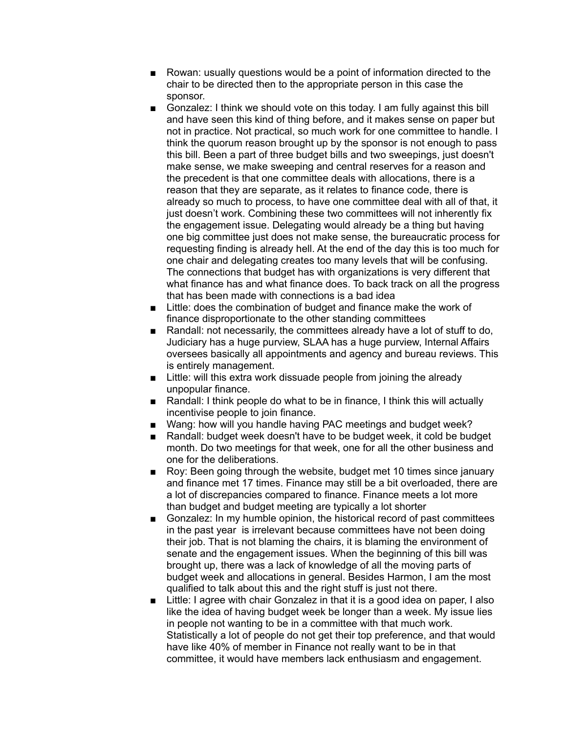- Rowan: usually questions would be a point of information directed to the chair to be directed then to the appropriate person in this case the sponsor.
- Gonzalez: I think we should vote on this today. I am fully against this bill and have seen this kind of thing before, and it makes sense on paper but not in practice. Not practical, so much work for one committee to handle. I think the quorum reason brought up by the sponsor is not enough to pass this bill. Been a part of three budget bills and two sweepings, just doesn't make sense, we make sweeping and central reserves for a reason and the precedent is that one committee deals with allocations, there is a reason that they are separate, as it relates to finance code, there is already so much to process, to have one committee deal with all of that, it just doesn't work. Combining these two committees will not inherently fix the engagement issue. Delegating would already be a thing but having one big committee just does not make sense, the bureaucratic process for requesting finding is already hell. At the end of the day this is too much for one chair and delegating creates too many levels that will be confusing. The connections that budget has with organizations is very different that what finance has and what finance does. To back track on all the progress that has been made with connections is a bad idea
- Little: does the combination of budget and finance make the work of finance disproportionate to the other standing committees
- Randall: not necessarily, the committees already have a lot of stuff to do, Judiciary has a huge purview, SLAA has a huge purview, Internal Affairs oversees basically all appointments and agency and bureau reviews. This is entirely management.
- Little: will this extra work dissuade people from joining the already unpopular finance.
- Randall: I think people do what to be in finance, I think this will actually incentivise people to join finance.
- Wang: how will you handle having PAC meetings and budget week?
- Randall: budget week doesn't have to be budget week, it cold be budget month. Do two meetings for that week, one for all the other business and one for the deliberations.
- Roy: Been going through the website, budget met 10 times since january and finance met 17 times. Finance may still be a bit overloaded, there are a lot of discrepancies compared to finance. Finance meets a lot more than budget and budget meeting are typically a lot shorter
- Gonzalez: In my humble opinion, the historical record of past committees in the past year is irrelevant because committees have not been doing their job. That is not blaming the chairs, it is blaming the environment of senate and the engagement issues. When the beginning of this bill was brought up, there was a lack of knowledge of all the moving parts of budget week and allocations in general. Besides Harmon, I am the most qualified to talk about this and the right stuff is just not there.
- Little: I agree with chair Gonzalez in that it is a good idea on paper, I also like the idea of having budget week be longer than a week. My issue lies in people not wanting to be in a committee with that much work. Statistically a lot of people do not get their top preference, and that would have like 40% of member in Finance not really want to be in that committee, it would have members lack enthusiasm and engagement.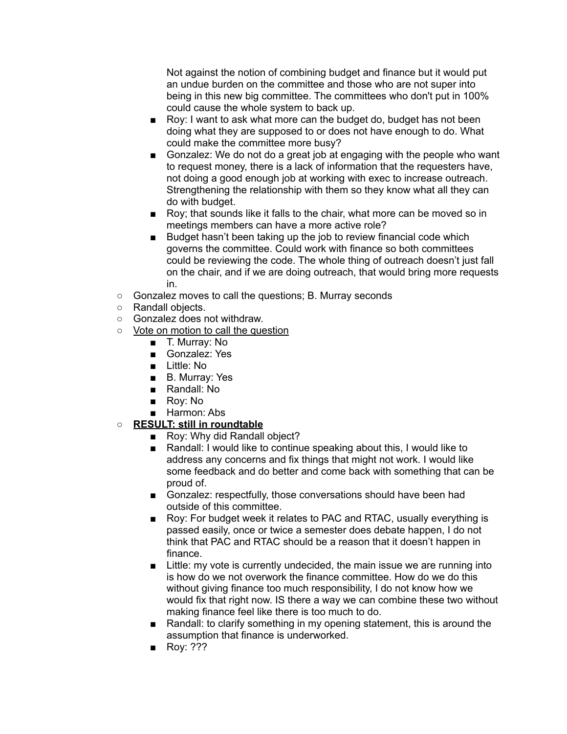Not against the notion of combining budget and finance but it would put an undue burden on the committee and those who are not super into being in this new big committee. The committees who don't put in 100% could cause the whole system to back up.

- Roy: I want to ask what more can the budget do, budget has not been doing what they are supposed to or does not have enough to do. What could make the committee more busy?
- Gonzalez: We do not do a great job at engaging with the people who want to request money, there is a lack of information that the requesters have, not doing a good enough job at working with exec to increase outreach. Strengthening the relationship with them so they know what all they can do with budget.
- Roy; that sounds like it falls to the chair, what more can be moved so in meetings members can have a more active role?
- Budget hasn't been taking up the job to review financial code which governs the committee. Could work with finance so both committees could be reviewing the code. The whole thing of outreach doesn't just fall on the chair, and if we are doing outreach, that would bring more requests in.
- Gonzalez moves to call the questions; B. Murray seconds
- Randall objects.
- Gonzalez does not withdraw.
- Vote on motion to call the question
	- T. Murray: No
	- Gonzalez: Yes
	- Little: No
	- B. Murray: Yes
	- Randall: No
	- Roy: No
	- Harmon: Abs
- **○ RESULT: still in roundtable**
	- Roy: Why did Randall object?
	- Randall: I would like to continue speaking about this, I would like to address any concerns and fix things that might not work. I would like some feedback and do better and come back with something that can be proud of.
	- Gonzalez: respectfully, those conversations should have been had outside of this committee.
	- Roy: For budget week it relates to PAC and RTAC, usually everything is passed easily, once or twice a semester does debate happen, I do not think that PAC and RTAC should be a reason that it doesn't happen in finance.
	- Little: my vote is currently undecided, the main issue we are running into is how do we not overwork the finance committee. How do we do this without giving finance too much responsibility, I do not know how we would fix that right now. IS there a way we can combine these two without making finance feel like there is too much to do.
	- Randall: to clarify something in my opening statement, this is around the assumption that finance is underworked.
	- Roy: ???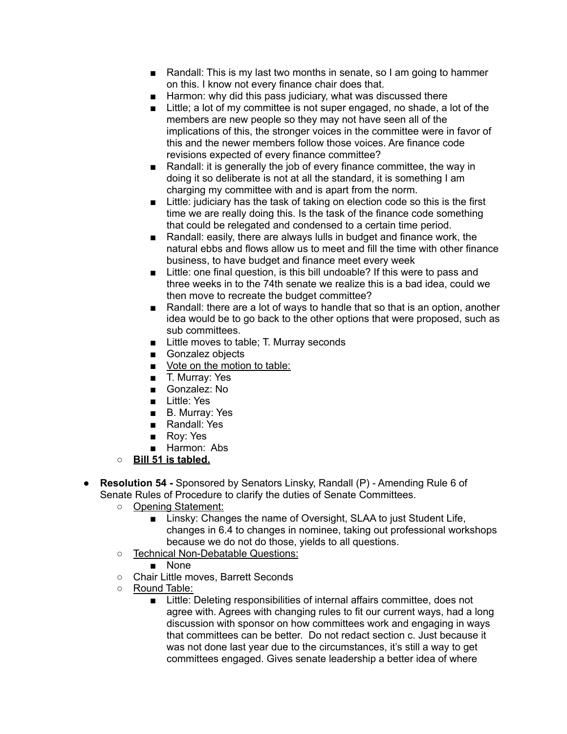- Randall: This is my last two months in senate, so I am going to hammer on this. I know not every finance chair does that.
- Harmon: why did this pass judiciary, what was discussed there
- Little; a lot of my committee is not super engaged, no shade, a lot of the members are new people so they may not have seen all of the implications of this, the stronger voices in the committee were in favor of this and the newer members follow those voices. Are finance code revisions expected of every finance committee?
- Randall: it is generally the job of every finance committee, the way in doing it so deliberate is not at all the standard, it is something I am charging my committee with and is apart from the norm.
- Little: judiciary has the task of taking on election code so this is the first time we are really doing this. Is the task of the finance code something that could be relegated and condensed to a certain time period.
- Randall: easily, there are always lulls in budget and finance work, the natural ebbs and flows allow us to meet and fill the time with other finance business, to have budget and finance meet every week
- Little: one final question, is this bill undoable? If this were to pass and three weeks in to the 74th senate we realize this is a bad idea, could we then move to recreate the budget committee?
- Randall: there are a lot of ways to handle that so that is an option, another idea would be to go back to the other options that were proposed, such as sub committees.
- Little moves to table; T. Murray seconds
- Gonzalez objects
- Vote on the motion to table:
- T. Murray: Yes
- Gonzalez: No
- Little: Yes
- B. Murray: Yes
- Randall: Yes
- Roy: Yes
- Harmon: Abs
- **○ Bill 51 is tabled.**
- **● Resolution 54 -** Sponsored by Senators Linsky, Randall (P) Amending Rule 6 of Senate Rules of Procedure to clarify the duties of Senate Committees.
	- Opening Statement:
		- Linsky: Changes the name of Oversight, SLAA to just Student Life, changes in 6.4 to changes in nominee, taking out professional workshops because we do not do those, yields to all questions.
	- Technical Non-Debatable Questions:
		- None
	- Chair Little moves, Barrett Seconds
	- Round Table:
		- Little: Deleting responsibilities of internal affairs committee, does not agree with. Agrees with changing rules to fit our current ways, had a long discussion with sponsor on how committees work and engaging in ways that committees can be better. Do not redact section c. Just because it was not done last year due to the circumstances, it's still a way to get committees engaged. Gives senate leadership a better idea of where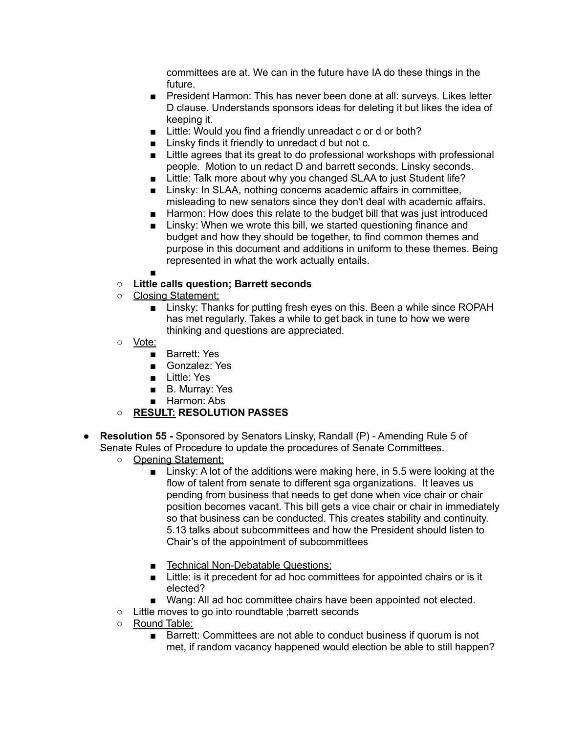committees are at. We can in the future have IA do these things in the future.

- President Harmon: This has never been done at all: surveys. Likes letter D clause. Understands sponsors ideas for deleting it but likes the idea of keeping it.
- Little: Would you find a friendly unreadact c or d or both?
- Linsky finds it friendly to unredact d but not c.
- Little agrees that its great to do professional workshops with professional people. Motion to un redact D and barrett seconds. Linsky seconds.
- Little: Talk more about why you changed SLAA to just Student life?
- Linsky: In SLAA, nothing concerns academic affairs in committee, misleading to new senators since they don't deal with academic affairs.
- Harmon: How does this relate to the budget bill that was just introduced
- Linsky: When we wrote this bill, we started questioning finance and budget and how they should be together, to find common themes and purpose in this document and additions in uniform to these themes. Being represented in what the work actually entails.
- ■

# **○ Little calls question; Barrett seconds**

- Closing Statement:
	- Linsky: Thanks for putting fresh eyes on this. Been a while since ROPAH has met regularly. Takes a while to get back in tune to how we were thinking and questions are appreciated.
- Vote:
	- Barrett: Yes
	- Gonzalez: Yes
	- Little: Yes
	- B. Murray: Yes
	- Harmon: Abs

# **○ RESULT: RESOLUTION PASSES**

- **● Resolution 55 -** Sponsored by Senators Linsky, Randall (P) Amending Rule 5 of Senate Rules of Procedure to update the procedures of Senate Committees.
	- Opening Statement:
		- Linsky: A lot of the additions were making here, in 5.5 were looking at the flow of talent from senate to different sga organizations. It leaves us pending from business that needs to get done when vice chair or chair position becomes vacant. This bill gets a vice chair or chair in immediately so that business can be conducted. This creates stability and continuity. 5.13 talks about subcommittees and how the President should listen to Chair's of the appointment of subcommittees
		- Technical Non-Debatable Questions:
		- Little: is it precedent for ad hoc committees for appointed chairs or is it elected?
		- Wang: All ad hoc committee chairs have been appointed not elected.
	- Little moves to go into roundtable ;barrett seconds
	- Round Table:
		- Barrett: Committees are not able to conduct business if quorum is not met, if random vacancy happened would election be able to still happen?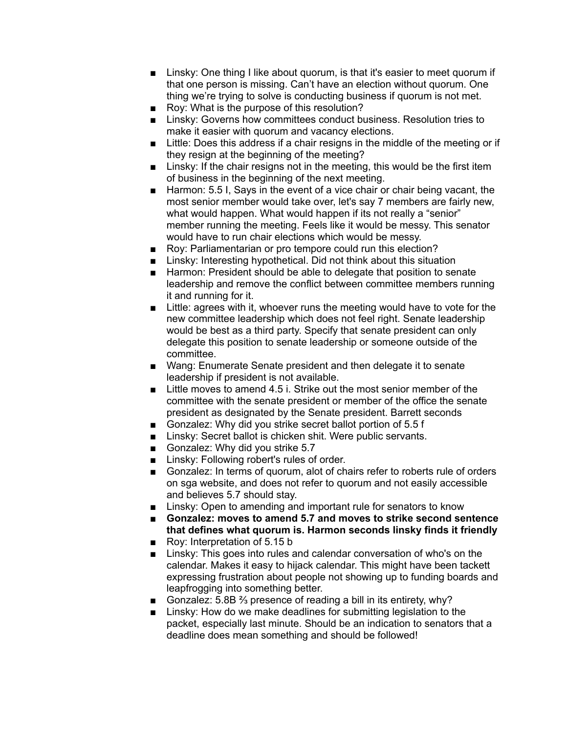- Linsky: One thing I like about quorum, is that it's easier to meet quorum if that one person is missing. Can't have an election without quorum. One thing we're trying to solve is conducting business if quorum is not met.
- Roy: What is the purpose of this resolution?
- Linsky: Governs how committees conduct business. Resolution tries to make it easier with quorum and vacancy elections.
- Little: Does this address if a chair resigns in the middle of the meeting or if they resign at the beginning of the meeting?
- Linsky: If the chair resigns not in the meeting, this would be the first item of business in the beginning of the next meeting.
- Harmon: 5.5 I, Says in the event of a vice chair or chair being vacant, the most senior member would take over, let's say 7 members are fairly new, what would happen. What would happen if its not really a "senior" member running the meeting. Feels like it would be messy. This senator would have to run chair elections which would be messy.
- Roy: Parliamentarian or pro tempore could run this election?
- Linsky: Interesting hypothetical. Did not think about this situation
- Harmon: President should be able to delegate that position to senate leadership and remove the conflict between committee members running it and running for it.
- Little: agrees with it, whoever runs the meeting would have to vote for the new committee leadership which does not feel right. Senate leadership would be best as a third party. Specify that senate president can only delegate this position to senate leadership or someone outside of the committee.
- Wang: Enumerate Senate president and then delegate it to senate leadership if president is not available.
- $\blacksquare$  Little moves to amend 4.5 i. Strike out the most senior member of the committee with the senate president or member of the office the senate president as designated by the Senate president. Barrett seconds
- Gonzalez: Why did you strike secret ballot portion of 5.5 f
- Linsky: Secret ballot is chicken shit. Were public servants.
- Gonzalez: Why did you strike 5.7
- Linsky: Following robert's rules of order.
- Gonzalez: In terms of quorum, alot of chairs refer to roberts rule of orders on sga website, and does not refer to quorum and not easily accessible and believes 5.7 should stay.
- Linsky: Open to amending and important rule for senators to know
- **■ Gonzalez: moves to amend 5.7 and moves to strike second sentence that defines what quorum is. Harmon seconds linsky finds it friendly**
- Roy: Interpretation of 5.15 b
- Linsky: This goes into rules and calendar conversation of who's on the calendar. Makes it easy to hijack calendar. This might have been tackett expressing frustration about people not showing up to funding boards and leapfrogging into something better.
- Gonzalez: 5.8B <sup>2</sup>/<sub>3</sub> presence of reading a bill in its entirety, why?
- Linsky: How do we make deadlines for submitting legislation to the packet, especially last minute. Should be an indication to senators that a deadline does mean something and should be followed!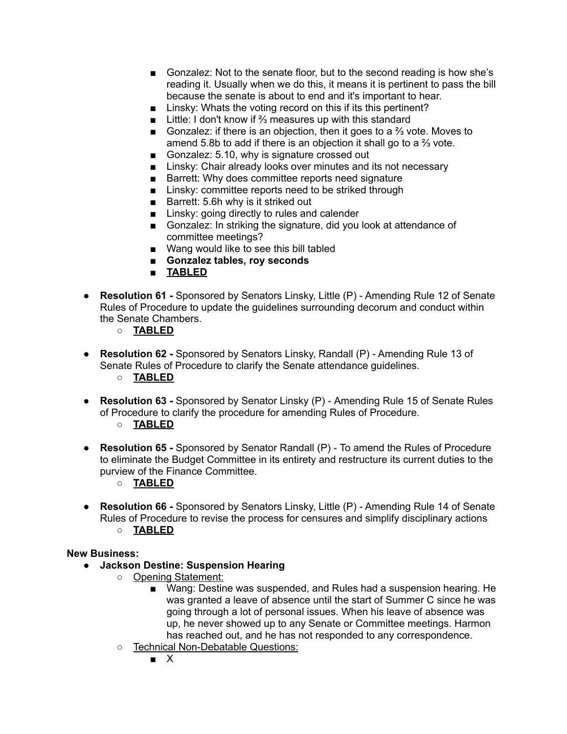- Gonzalez: Not to the senate floor, but to the second reading is how she's reading it. Usually when we do this, it means it is pertinent to pass the bill because the senate is about to end and it's important to hear.
- Linsky: Whats the voting record on this if its this pertinent?
- Little: I don't know if <sup>3</sup>/<sub>3</sub> measures up with this standard
- Gonzalez: if there is an objection, then it goes to a <sup>2</sup>/<sub>3</sub> vote. Moves to amend 5.8b to add if there is an objection it shall go to a ⅔ vote.
- Gonzalez: 5.10, why is signature crossed out
- Linsky: Chair already looks over minutes and its not necessary
- Barrett: Why does committee reports need signature
- Linsky: committee reports need to be striked through
- Barrett: 5.6h why is it striked out
- Linsky: going directly to rules and calender
- Gonzalez: In striking the signature, did you look at attendance of committee meetings?
- Wang would like to see this bill tabled
- **■ Gonzalez tables, roy seconds**
- **TABLED**
- **● Resolution 61 -** Sponsored by Senators Linsky, Little (P) Amending Rule 12 of Senate Rules of Procedure to update the guidelines surrounding decorum and conduct within the Senate Chambers.
	- **○ TABLED**
- **● Resolution 62 -** Sponsored by Senators Linsky, Randall (P) Amending Rule 13 of Senate Rules of Procedure to clarify the Senate attendance guidelines. **○ TABLED**
- **● Resolution 63 -** Sponsored by Senator Linsky (P) Amending Rule 15 of Senate Rules of Procedure to clarify the procedure for amending Rules of Procedure.
	- **○ TABLED**
- **● Resolution 65 -** Sponsored by Senator Randall (P) To amend the Rules of Procedure to eliminate the Budget Committee in its entirety and restructure its current duties to the purview of the Finance Committee.
	- **○ TABLED**
- **● Resolution 66 -** Sponsored by Senators Linsky, Little (P) Amending Rule 14 of Senate Rules of Procedure to revise the process for censures and simplify disciplinary actions **○ TABLED**

### **New Business:**

- **● Jackson Destine: Suspension Hearing**
	- Opening Statement:
		- Wang: Destine was suspended, and Rules had a suspension hearing. He was granted a leave of absence until the start of Summer C since he was going through a lot of personal issues. When his leave of absence was up, he never showed up to any Senate or Committee meetings. Harmon has reached out, and he has not responded to any correspondence.
	- Technical Non-Debatable Questions:
		- X